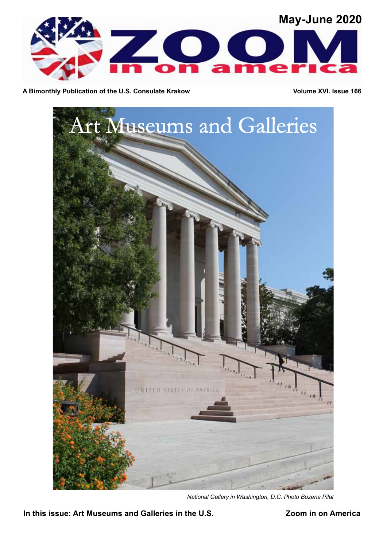

A Bimonthly Publication of the U.S. Consulate Krakow **Volume XVI.** Issue 166



*National Gallery in Washington, D.C. Photo Bozena Pilat*

**In this issue: Art Museums and Galleries in the U.S. Zoom in on America**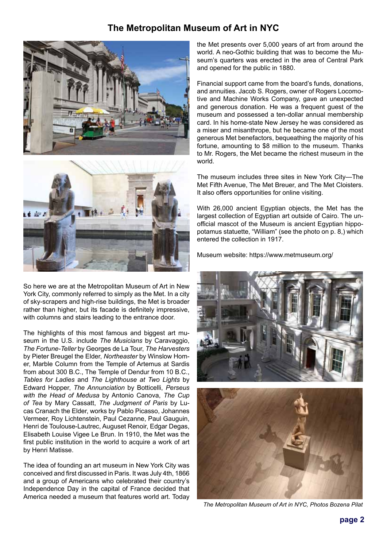# **The Metropolitan Museum of Art in NYC**





So here we are at the Metropolitan Museum of Art in New York City, commonly referred to simply as the Met. In a city of sky-scrapers and high-rise buildings, the Met is broader rather than higher, but its facade is definitely impressive, with columns and stairs leading to the entrance door.

The highlights of this most famous and biggest art museum in the U.S. include *The Musicians* by Caravaggio, *The Fortune-Teller* by Georges de La Tour, *The Harvesters* by Pieter Breugel the Elder, *Northeaster* by Winslow Homer, Marble Column from the Temple of Artemus at Sardis from about 300 B.C., The Temple of Dendur from 10 B.C., *Tables for Ladies* and *The Lighthouse at Two Lights* by Edward Hopper, *The Annunciation* by Botticelli, *Perseus with the Head of Medusa* by Antonio Canova, *The Cup of Tea* by Mary Cassatt, *The Judgment of Paris* by Lucas Cranach the Elder, works by Pablo Picasso, Johannes Vermeer, Roy Lichtenstein, Paul Cezanne, Paul Gauguin, Henri de Toulouse-Lautrec, Auguset Renoir, Edgar Degas, Elisabeth Louise Vigee Le Brun. In 1910, the Met was the first public institution in the world to acquire a work of art by Henri Matisse.

The idea of founding an art museum in New York City was conceived and first discussed in Paris. It was July 4th, 1866 and a group of Americans who celebrated their country's Independence Day in the capital of France decided that America needed a museum that features world art. Today

the Met presents over 5,000 years of art from around the world. A neo-Gothic building that was to become the Museum's quarters was erected in the area of Central Park and opened for the public in 1880.

Financial support came from the board's funds, donations, and annuities. Jacob S. Rogers, owner of Rogers Locomotive and Machine Works Company, gave an unexpected and generous donation. He was a frequent guest of the museum and possessed a ten-dollar annual membership card. In his home-state New Jersey he was considered as a miser and misanthrope, but he became one of the most generous Met benefactors, bequeathing the majority of his fortune, amounting to \$8 million to the museum. Thanks to Mr. Rogers, the Met became the richest museum in the world.

The museum includes three sites in New York City—The Met Fifth Avenue, The Met Breuer, and The Met Cloisters. It also offers opportunities for online visiting.

With 26,000 ancient Egyptian objects, the Met has the largest collection of Egyptian art outside of Cairo. The unofficial mascot of the Museum is ancient Egyptian hippopotamus statuette, "William" (see the photo on p. 8,) which entered the collection in 1917.

Museum website: https://www.metmuseum.org/





*The Metropolitan Museum of Art in NYC, Photos Bozena Pilat*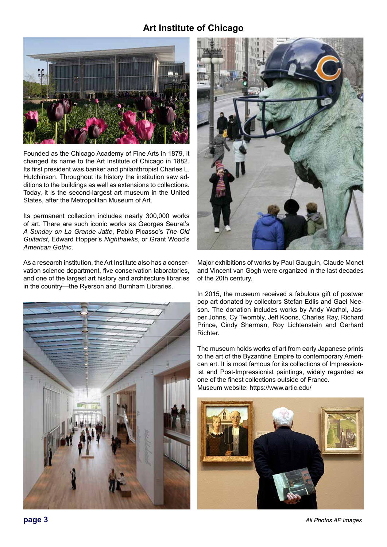## **Art Institute of Chicago**



Founded as the Chicago Academy of Fine Arts in 1879, it changed its name to the Art Institute of Chicago in 1882. Its first president was banker and philanthropist Charles L. Hutchinson. Throughout its history the institution saw additions to the buildings as well as extensions to collections. Today, it is the second-largest art museum in the United States, after the Metropolitan Museum of Art.

Its permanent collection includes nearly 300,000 works of art. There are such iconic works as Georges Seurat's *A Sunday on La Grande Jatte*, Pablo Picasso's *The Old Guitarist*, Edward Hopper's *Nighthawks*, or Grant Wood's *American Gothic*.

As a research institution, the Art Institute also has a conservation science department, five conservation laboratories, and one of the largest art history and architecture libraries in the country—the Ryerson and Burnham Libraries.





Major exhibitions of works by Paul Gauguin, Claude Monet and Vincent van Gogh were organized in the last decades of the 20th century.

In 2015, the museum received a fabulous gift of postwar pop art donated by collectors Stefan Edlis and Gael Neeson. The donation includes works by Andy Warhol, Jasper Johns, Cy Twombly, Jeff Koons, Charles Ray, Richard Prince, Cindy Sherman, Roy Lichtenstein and Gerhard Richter.

The museum holds works of art from early Japanese prints to the art of the Byzantine Empire to contemporary American art. It is most famous for its collections of Impressionist and Post-Impressionist paintings, widely regarded as one of the finest collections outside of France. Museum website: https://www.artic.edu/



*All Photos AP Images*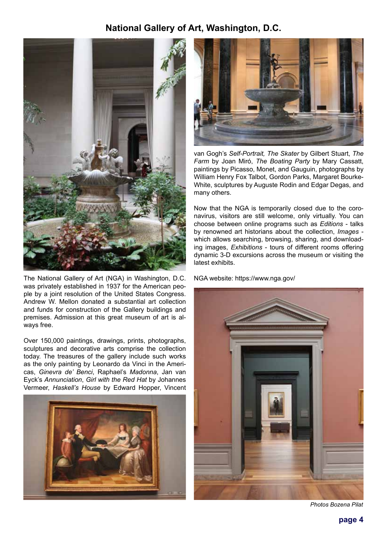## **National Gallery of Art, Washington, D.C.**



The National Gallery of Art (NGA) in Washington, D.C. was privately established in 1937 for the American people by a joint resolution of the United States Congress. Andrew W. Mellon donated a substantial art collection and funds for construction of the Gallery buildings and premises. Admission at this great museum of art is always free.

Over 150,000 paintings, drawings, prints, photographs, sculptures and decorative arts comprise the collection today. The treasures of the gallery include such works as the only painting by Leonardo da Vinci in the Americas, *Ginevra de' Benci*, Raphael's *Madonna*, Jan van Eyck's *Annunciation*, *Girl with the Red Hat* by Johannes Vermeer, *Haskell's House* by Edward Hopper, Vincent





van Gogh's *Self-Portrait, The Skater* by Gilbert Stuart, *The Farm* by Joan Miró, *The Boating Party* by Mary Cassatt, paintings by Picasso, Monet, and Gauguin, photographs by William Henry Fox Talbot, Gordon Parks, Margaret Bourke-White, sculptures by Auguste Rodin and Edgar Degas, and many others.

Now that the NGA is temporarily closed due to the coronavirus, visitors are still welcome, only virtually. You can choose between online programs such as *Editions* - talks by renowned art historians about the collection, *Images* which allows searching, browsing, sharing, and downloading images, *Exhibitions* - tours of different rooms offering dynamic 3-D excursions across the museum or visiting the latest exhibits.

NGA website: https://www.nga.gov/



*Photos Bozena Pilat*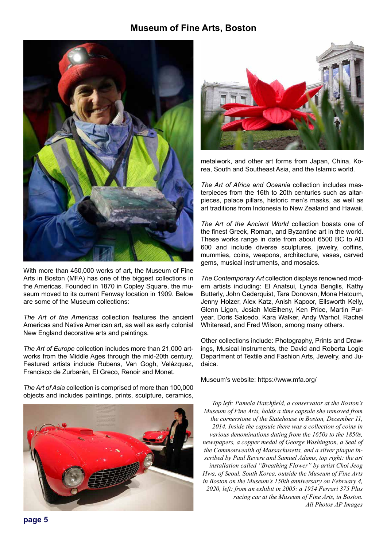## **Museum of Fine Arts, Boston**



With more than 450,000 works of art, the Museum of Fine Arts in Boston (MFA) has one of the biggest collections in the Americas. Founded in 1870 in Copley Square, the museum moved to its current Fenway location in 1909. Below are some of the Museum collections:

*The Art of the Americas* collection features the ancient Americas and Native American art, as well as early colonial New England decorative arts and paintings.

*The Art of Europe* collection includes more than 21,000 artworks from the Middle Ages through the mid-20th century. Featured artists include Rubens, Van Gogh, Velázquez, Francisco de Zurbarán, El Greco, Renoir and Monet.

*The Art of Asia* collection is comprised of more than 100,000 objects and includes paintings, prints, sculpture, ceramics,





metalwork, and other art forms from Japan, China, Korea, South and Southeast Asia, and the Islamic world.

*The Art of Africa and Oceania* collection includes masterpieces from the 16th to 20th centuries such as altarpieces, palace pillars, historic men's masks, as well as art traditions from Indonesia to New Zealand and Hawaii.

*The Art of the Ancient World* collection boasts one of the finest Greek, Roman, and Byzantine art in the world. These works range in date from about 6500 BC to AD 600 and include diverse sculptures, jewelry, coffins, mummies, coins, weapons, architecture, vases, carved gems, musical instruments, and mosaics.

*The Contemporary Art* collection displays renowned modern artists including: El Anatsui, Lynda Benglis, Kathy Butterly, John Cederquist, Tara Donovan, Mona Hatoum, Jenny Holzer, Alex Katz, Anish Kapoor, Ellsworth Kelly, Glenn Ligon, Josiah McElheny, Ken Price, Martin Puryear, Doris Salcedo, Kara Walker, Andy Warhol, Rachel Whiteread, and Fred Wilson, among many others.

Other collections include: Photography, Prints and Drawings, Musical Instruments, the David and Roberta Logie Department of Textile and Fashion Arts, Jewelry, and Judaica.

Museum's website: https://www.mfa.org/

*Top left: Pamela Hatchfield, a conservator at the Boston's Museum of Fine Arts, holds a time capsule she removed from the cornerstone of the Statehouse in Boston, December 11, 2014. Inside the capsule there was a collection of coins in various denominations dating from the 1650s to the 1850s, newspapers, a copper medal of George Washington, a Seal of the Commonwealth of Massachusetts, and a silver plaque inscribed by Paul Revere and Samuel Adams, top right: the art installation called "Breathing Flower" by artist Choi Jeog Hwa, of Seoul, South Korea, outside the Museum of Fine Arts in Boston on the Museum's 150th anniversary on February 4, 2020, left: from an exhibit in 2005: a 1954 Ferrari 375 Plus racing car at the Museum of Fine Arts, in Boston. All Photos AP Images*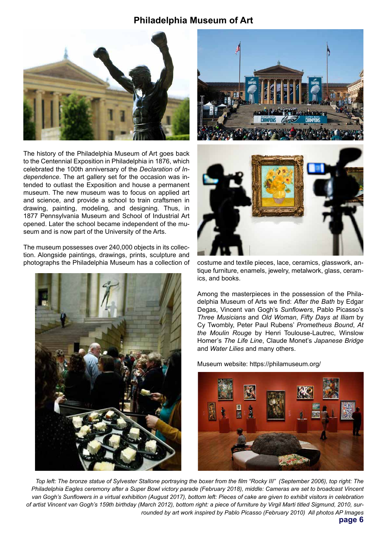## **Philadelphia Museum of Art**



The history of the Philadelphia Museum of Art goes back to the Centennial Exposition in Philadelphia in 1876, which celebrated the 100th anniversary of the *Declaration of Independence*. The art gallery set for the occasion was intended to outlast the Exposition and house a permanent museum. The new museum was to focus on applied art and science, and provide a school to train craftsmen in drawing, painting, modeling, and designing. Thus, in 1877 Pennsylvania Museum and School of Industrial Art opened. Later the school became independent of the museum and is now part of the University of the Arts.

The museum possesses over 240,000 objects in its collection. Alongside paintings, drawings, prints, sculpture and photographs the Philadelphia Museum has a collection of







costume and textile pieces, lace, ceramics, glasswork, antique furniture, enamels, jewelry, metalwork, glass, ceramics, and books.

Among the masterpieces in the possession of the Philadelphia Museum of Arts we find: *After the Bath* by Edgar Degas, Vincent van Gogh's *Sunflowers*, Pablo Picasso's *Three Musicians* and *Old Woman*, *Fifty Days at Iliam* by Cy Twombly, Peter Paul Rubens' *Prometheus Bound*, *At the Moulin Rouge* by Henri Toulouse-Lautrec, Winslow Homer's *The Life Line*, Claude Monet's *Japanese Bridge* and *Water Lilies* and many others.

Museum website: https://philamuseum.org/



**page 6** *Top left: The bronze statue of Sylvester Stallone portraying the boxer from the film "Rocky III" (September 2006), top right: The Philadelphia Eagles ceremony after a Super Bowl victory parade (February 2018), middle: Cameras are set to broadcast Vincent*  van Gogh's Sunflowers in a virtual exhibition (August 2017), bottom left: Pieces of cake are given to exhibit visitors in celebration *of artist Vincent van Gogh's 159th birthday (March 2012), bottom right: a piece of furniture by Virgil Marti titled Sigmund, 2010, surrounded by art work inspired by Pablo Picasso (February 2010) All photos AP Images*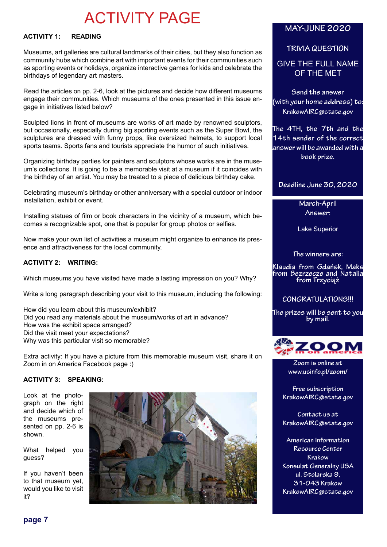# ACTIVITY PAGE

#### **ACTIVITY 1: READING**

Museums, art galleries are cultural landmarks of their cities, but they also function as community hubs which combine art with important events for their communities such as sporting events or holidays, organize interactive games for kids and celebrate the birthdays of legendary art masters.

Read the articles on pp. 2-6, look at the pictures and decide how different museums engage their communities. Which museums of the ones presented in this issue engage in initiatives listed below?

Sculpted lions in front of museums are works of art made by renowned sculptors, but occasionally, especially during big sporting events such as the Super Bowl, the sculptures are dressed with funny props, like oversized helmets, to support local sports teams. Sports fans and tourists appreciate the humor of such initiatives.

Organizing birthday parties for painters and sculptors whose works are in the museum's collections. It is going to be a memorable visit at a museum if it coincides with the birthday of an artist. You may be treated to a piece of delicious birthday cake.

Celebrating museum's birthday or other anniversary with a special outdoor or indoor installation, exhibit or event.

Installing statues of film or book characters in the vicinity of a museum, which becomes a recognizable spot, one that is popular for group photos or selfies.

Now make your own list of activities a museum might organize to enhance its presence and attractiveness for the local community.

#### **ACTIVITY 2: WRITING:**

Which museums you have visited have made a lasting impression on you? Why?

Write a long paragraph describing your visit to this museum, including the following:

How did you learn about this museum/exhibit? Did you read any materials about the museum/works of art in advance? How was the exhibit space arranged? Did the visit meet your expectations? Why was this particular visit so memorable?

Extra activity: If you have a picture from this memorable museum visit, share it on Zoom in on America Facebook page :)

#### **ACTIVITY 3: SPEAKING:**

Look at the photograph on the right and decide which of the museums presented on pp. 2-6 is shown.

What helped you guess?

If you haven't been to that museum yet, would you like to visit it?



## **MAY-JUNE 2020**

#### **TRIVIA QUESTION**

GIVE THE FULL NAME OF THE MET

**Send the answer (with your home address) to: KrakowAIRC@state.gov**

**The 4TH, the 7th and the 14th sender of the correct answer will be awarded with a book prize.**

#### **Deadline June 30, 2020**

**March-April Answer:** 

Lake Superior

**The winners are:**

**Klaudia from Gdańsk, Maks from Bezrzecze and Natalia from Trzyciąż**

#### **CONGRATULATIONS!!!**

**The prizes will be sent to you by mail.**



**Zoom is online at www.usinfo.pl/zoom/**

**Free subscription KrakowAIRC@state.gov**

**Contact us at KrakowAIRC@state.gov**

**American Information Resource Center Krakow Konsulat Generalny USA ul. Stolarska 9, 31-043 Krakow KrakowAIRC@state.gov**